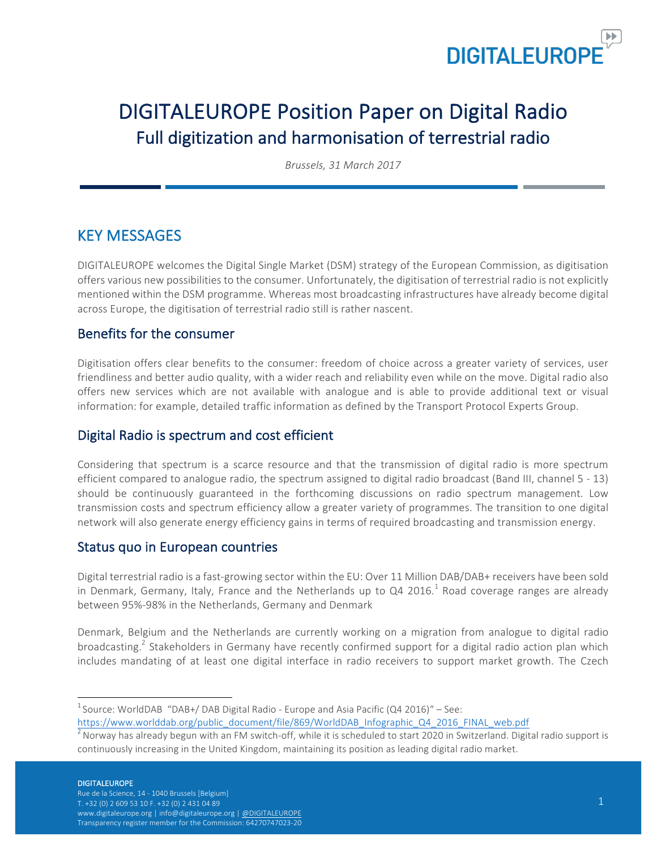

# DIGITALEUROPE Position Paper on Digital Radio Full digitization and harmonisation of terrestrial radio

*Brussels, 31 March 2017*

## KEY MESSAGES

DIGITALEUROPE welcomes the Digital Single Market (DSM) strategy of the European Commission, as digitisation offers various new possibilities to the consumer. Unfortunately, the digitisation of terrestrial radio is not explicitly mentioned within the DSM programme. Whereas most broadcasting infrastructures have already become digital across Europe, the digitisation of terrestrial radio still is rather nascent.

### Benefits for the consumer

Digitisation offers clear benefits to the consumer: freedom of choice across a greater variety of services, user friendliness and better audio quality, with a wider reach and reliability even while on the move. Digital radio also offers new services which are not available with analogue and is able to provide additional text or visual information: for example, detailed traffic information as defined by the Transport Protocol Experts Group.

### Digital Radio is spectrum and cost efficient

Considering that spectrum is a scarce resource and that the transmission of digital radio is more spectrum efficient compared to analogue radio, the spectrum assigned to digital radio broadcast (Band III, channel 5 - 13) should be continuously guaranteed in the forthcoming discussions on radio spectrum management. Low transmission costs and spectrum efficiency allow a greater variety of programmes. The transition to one digital network will also generate energy efficiency gains in terms of required broadcasting and transmission energy.

### Status quo in European countries

Digital terrestrial radio is a fast-growing sector within the EU: Over 11 Million DAB/DAB+ receivers have been sold in Denmark, Germany, Italy, France and the Netherlands up to Q4 2016.<sup>1</sup> Road coverage ranges are already between 95%-98% in the Netherlands, Germany and Denmark

Denmark, Belgium and the Netherlands are currently working on a migration from analogue to digital radio broadcasting.<sup>2</sup> Stakeholders in Germany have recently confirmed support for a digital radio action plan which includes mandating of at least one digital interface in radio receivers to support market growth. The Czech

#### **DIGITALEUROPE**

 $\frac{1}{1}$ <sup>1</sup> Source: WorldDAB "DAB+/ DAB Digital Radio - Europe and Asia Pacific (Q4 2016)" – See:

https://www.worlddab.org/public\_document/file/869/WorldDAB\_Infographic\_Q4\_2016\_FINAL\_web.pdf <sup>2</sup>

 $^2$  Norway has already begun with an FM switch-off, while it is scheduled to start 2020 in Switzerland. Digital radio support is continuously increasing in the United Kingdom, maintaining its position as leading digital radio market.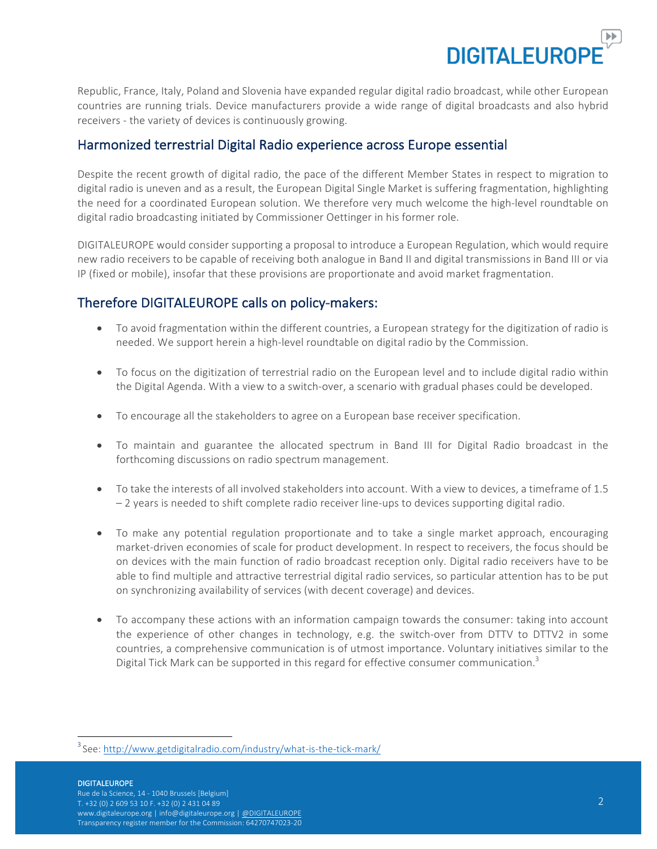

Republic, France, Italy, Poland and Slovenia have expanded regular digital radio broadcast, while other European countries are running trials. Device manufacturers provide a wide range of digital broadcasts and also hybrid receivers - the variety of devices is continuously growing.

#### Harmonized terrestrial Digital Radio experience across Europe essential

Despite the recent growth of digital radio, the pace of the different Member States in respect to migration to digital radio is uneven and as a result, the European Digital Single Market is suffering fragmentation, highlighting the need for a coordinated European solution. We therefore very much welcome the high-level roundtable on digital radio broadcasting initiated by Commissioner Oettinger in his former role.

DIGITALEUROPE would consider supporting a proposal to introduce a European Regulation, which would require new radio receivers to be capable of receiving both analogue in Band II and digital transmissions in Band III or via IP (fixed or mobile), insofar that these provisions are proportionate and avoid market fragmentation.

### Therefore DIGITALEUROPE calls on policy-makers:

- To avoid fragmentation within the different countries, a European strategy for the digitization of radio is needed. We support herein a high-level roundtable on digital radio by the Commission.
- To focus on the digitization of terrestrial radio on the European level and to include digital radio within the Digital Agenda. With a view to a switch-over, a scenario with gradual phases could be developed.
- To encourage all the stakeholders to agree on a European base receiver specification.
- To maintain and guarantee the allocated spectrum in Band III for Digital Radio broadcast in the forthcoming discussions on radio spectrum management.
- To take the interests of all involved stakeholders into account. With a view to devices, a timeframe of 1.5  $-2$  years is needed to shift complete radio receiver line-ups to devices supporting digital radio.
- To make any potential regulation proportionate and to take a single market approach, encouraging market-driven economies of scale for product development. In respect to receivers, the focus should be on devices with the main function of radio broadcast reception only. Digital radio receivers have to be able to find multiple and attractive terrestrial digital radio services, so particular attention has to be put on synchronizing availability of services (with decent coverage) and devices.
- To accompany these actions with an information campaign towards the consumer: taking into account the experience of other changes in technology, e.g. the switch-over from DTTV to DTTV2 in some countries, a comprehensive communication is of utmost importance. Voluntary initiatives similar to the Digital Tick Mark can be supported in this regard for effective consumer communication.<sup>3</sup>

#### DIGITALEUROPE

 $\frac{1}{3}$ <sup>3</sup> See: http://www.getdigitalradio.com/industry/what-is-the-tick-mark/